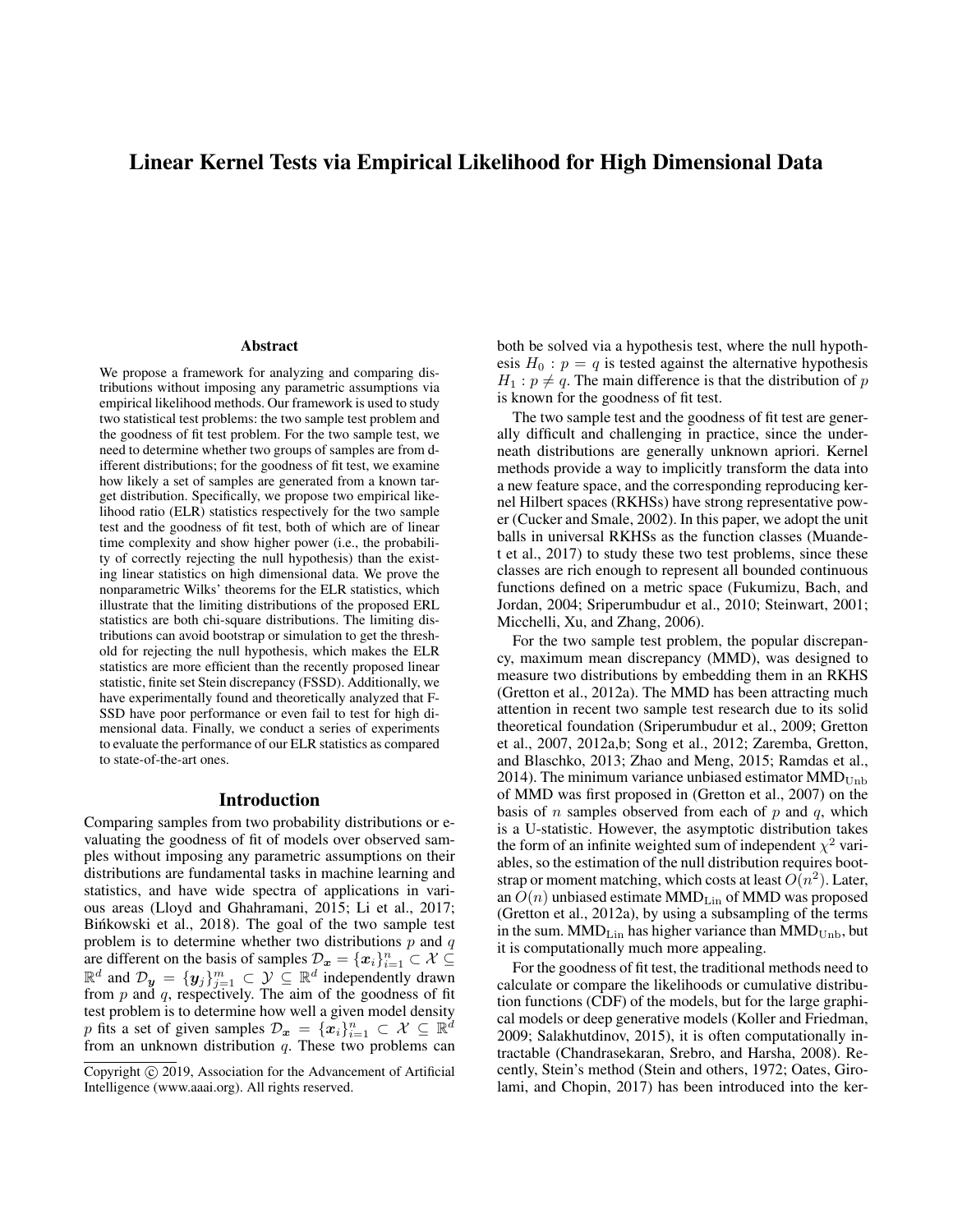# Linear Kernel Tests via Empirical Likelihood for High Dimensional Data

#### Abstract

We propose a framework for analyzing and comparing distributions without imposing any parametric assumptions via empirical likelihood methods. Our framework is used to study two statistical test problems: the two sample test problem and the goodness of fit test problem. For the two sample test, we need to determine whether two groups of samples are from different distributions; for the goodness of fit test, we examine how likely a set of samples are generated from a known target distribution. Specifically, we propose two empirical likelihood ratio (ELR) statistics respectively for the two sample test and the goodness of fit test, both of which are of linear time complexity and show higher power (i.e., the probability of correctly rejecting the null hypothesis) than the existing linear statistics on high dimensional data. We prove the nonparametric Wilks' theorems for the ELR statistics, which illustrate that the limiting distributions of the proposed ERL statistics are both chi-square distributions. The limiting distributions can avoid bootstrap or simulation to get the threshold for rejecting the null hypothesis, which makes the ELR statistics are more efficient than the recently proposed linear statistic, finite set Stein discrepancy (FSSD). Additionally, we have experimentally found and theoretically analyzed that F-SSD have poor performance or even fail to test for high dimensional data. Finally, we conduct a series of experiments to evaluate the performance of our ELR statistics as compared to state-of-the-art ones.

#### Introduction

Comparing samples from two probability distributions or evaluating the goodness of fit of models over observed samples without imposing any parametric assumptions on their distributions are fundamental tasks in machine learning and statistics, and have wide spectra of applications in various areas (Lloyd and Ghahramani, 2015; Li et al., 2017; Binkowski et al., 2018). The goal of the two sample test problem is to determine whether two distributions  $p$  and  $q$ are different on the basis of samples  $\mathcal{D}_x = \{x_i\}_{i=1}^n \subset \mathcal{X} \subseteq \mathbb{R}^d$  and  $\mathcal{D}_y = \{y_j\}_{j=1}^m \subset \mathcal{Y} \subseteq \mathbb{R}^d$  independently drawn from  $p$  and  $q$ , respectively. The aim of the goodness of fit test problem is to determine how well a given model density p fits a set of given samples  $\mathcal{D}_x = \{x_i\}_{i=1}^n \subset \mathcal{X} \subseteq \mathbb{R}^d$ from an unknown distribution  $q$ . These two problems can

both be solved via a hypothesis test, where the null hypothesis  $H_0$ :  $p = q$  is tested against the alternative hypothesis  $H_1$ :  $p \neq q$ . The main difference is that the distribution of p is known for the goodness of fit test.

The two sample test and the goodness of fit test are generally difficult and challenging in practice, since the underneath distributions are generally unknown apriori. Kernel methods provide a way to implicitly transform the data into a new feature space, and the corresponding reproducing kernel Hilbert spaces (RKHSs) have strong representative power (Cucker and Smale, 2002). In this paper, we adopt the unit balls in universal RKHSs as the function classes (Muandet et al., 2017) to study these two test problems, since these classes are rich enough to represent all bounded continuous functions defined on a metric space (Fukumizu, Bach, and Jordan, 2004; Sriperumbudur et al., 2010; Steinwart, 2001; Micchelli, Xu, and Zhang, 2006).

For the two sample test problem, the popular discrepancy, maximum mean discrepancy (MMD), was designed to measure two distributions by embedding them in an RKHS (Gretton et al., 2012a). The MMD has been attracting much attention in recent two sample test research due to its solid theoretical foundation (Sriperumbudur et al., 2009; Gretton et al., 2007, 2012a,b; Song et al., 2012; Zaremba, Gretton, and Blaschko, 2013; Zhao and Meng, 2015; Ramdas et al., 2014). The minimum variance unbiased estimator  $MMD_{Unb}$ of MMD was first proposed in (Gretton et al., 2007) on the basis of *n* samples observed from each of  $p$  and  $q$ , which is a U-statistic. However, the asymptotic distribution takes the form of an infinite weighted sum of independent  $\chi^2$  variables, so the estimation of the null distribution requires bootstrap or moment matching, which costs at least  $O(n^2)$ . Later, an  $O(n)$  unbiased estimate  $MMD<sub>Lin</sub>$  of  $MMD$  was proposed (Gretton et al., 2012a), by using a subsampling of the terms in the sum.  $MMD_{Lin}$  has higher variance than  $MMD_{Unb}$ , but it is computationally much more appealing.

For the goodness of fit test, the traditional methods need to calculate or compare the likelihoods or cumulative distribution functions (CDF) of the models, but for the large graphical models or deep generative models (Koller and Friedman, 2009; Salakhutdinov, 2015), it is often computationally intractable (Chandrasekaran, Srebro, and Harsha, 2008). Recently, Stein's method (Stein and others, 1972; Oates, Girolami, and Chopin, 2017) has been introduced into the ker-

Copyright © 2019, Association for the Advancement of Artificial Intelligence (www.aaai.org). All rights reserved.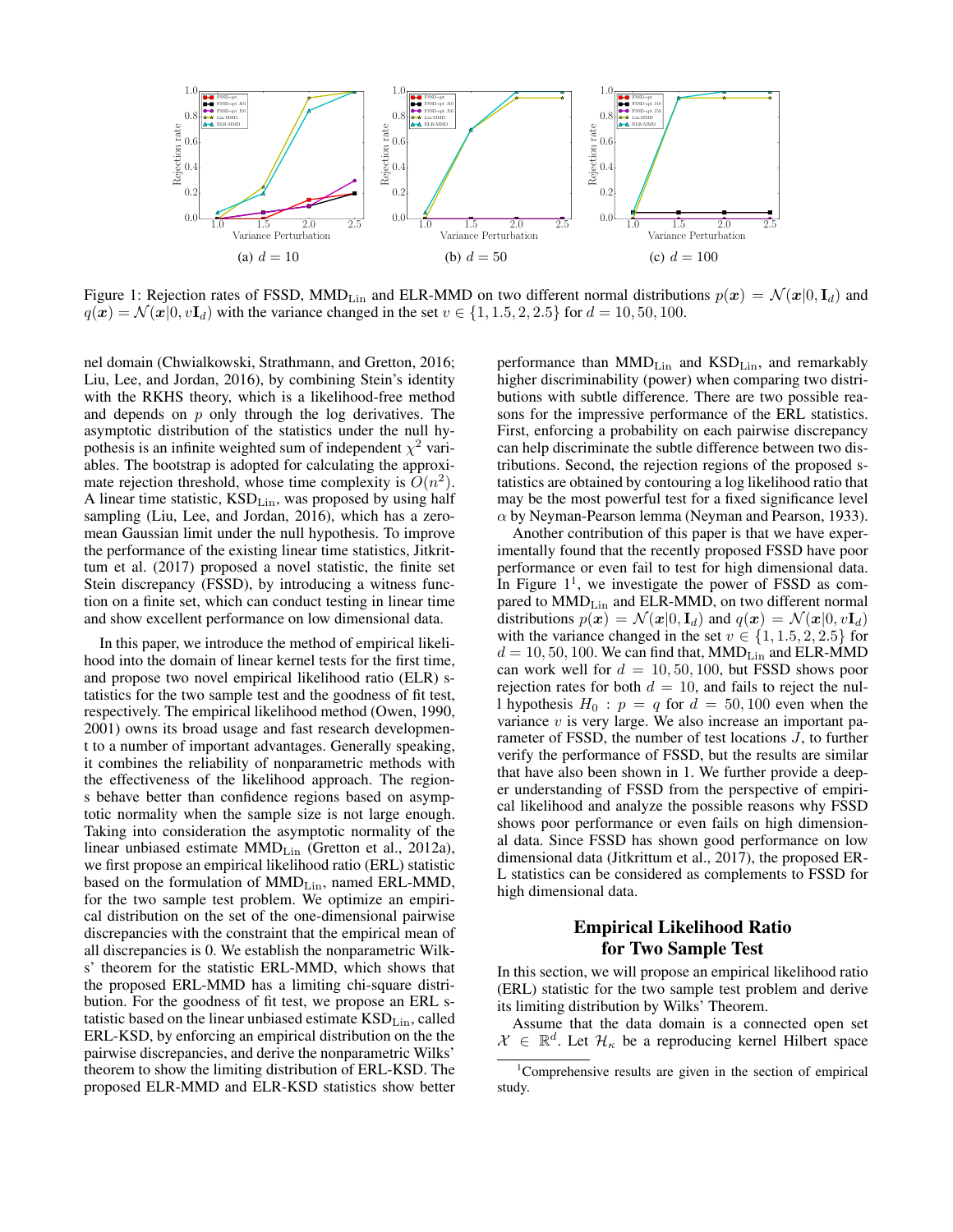

Figure 1: Rejection rates of FSSD, MMD<sub>Lin</sub> and ELR-MMD on two different normal distributions  $p(x) = \mathcal{N}(x|0, I_d)$  and  $q(x) = \mathcal{N}(x|0, vI_d)$  with the variance changed in the set  $v \in \{1, 1.5, 2, 2.5\}$  for  $d = 10, 50, 100$ .

nel domain (Chwialkowski, Strathmann, and Gretton, 2016; Liu, Lee, and Jordan, 2016), by combining Stein's identity with the RKHS theory, which is a likelihood-free method and depends on  $p$  only through the log derivatives. The asymptotic distribution of the statistics under the null hypothesis is an infinite weighted sum of independent  $\chi^2$  variables. The bootstrap is adopted for calculating the approximate rejection threshold, whose time complexity is  $O(n^2)$ . A linear time statistic,  $KSD<sub>Lin</sub>$ , was proposed by using half sampling (Liu, Lee, and Jordan, 2016), which has a zeromean Gaussian limit under the null hypothesis. To improve the performance of the existing linear time statistics, Jitkrittum et al. (2017) proposed a novel statistic, the finite set Stein discrepancy (FSSD), by introducing a witness function on a finite set, which can conduct testing in linear time and show excellent performance on low dimensional data.

In this paper, we introduce the method of empirical likelihood into the domain of linear kernel tests for the first time, and propose two novel empirical likelihood ratio (ELR) statistics for the two sample test and the goodness of fit test, respectively. The empirical likelihood method (Owen, 1990, 2001) owns its broad usage and fast research development to a number of important advantages. Generally speaking, it combines the reliability of nonparametric methods with the effectiveness of the likelihood approach. The regions behave better than confidence regions based on asymptotic normality when the sample size is not large enough. Taking into consideration the asymptotic normality of the linear unbiased estimate  $MMD_{Lin}$  (Gretton et al., 2012a), we first propose an empirical likelihood ratio (ERL) statistic based on the formulation of MMD<sub>Lin</sub>, named ERL-MMD, for the two sample test problem. We optimize an empirical distribution on the set of the one-dimensional pairwise discrepancies with the constraint that the empirical mean of all discrepancies is 0. We establish the nonparametric Wilks' theorem for the statistic ERL-MMD, which shows that the proposed ERL-MMD has a limiting chi-square distribution. For the goodness of fit test, we propose an ERL statistic based on the linear unbiased estimate KSD<sub>Lin</sub>, called ERL-KSD, by enforcing an empirical distribution on the the pairwise discrepancies, and derive the nonparametric Wilks' theorem to show the limiting distribution of ERL-KSD. The proposed ELR-MMD and ELR-KSD statistics show better

performance than MMDLin and KSDLin, and remarkably higher discriminability (power) when comparing two distributions with subtle difference. There are two possible reasons for the impressive performance of the ERL statistics. First, enforcing a probability on each pairwise discrepancy can help discriminate the subtle difference between two distributions. Second, the rejection regions of the proposed statistics are obtained by contouring a log likelihood ratio that may be the most powerful test for a fixed significance level  $\alpha$  by Neyman-Pearson lemma (Neyman and Pearson, 1933).

Another contribution of this paper is that we have experimentally found that the recently proposed FSSD have poor performance or even fail to test for high dimensional data. In Figure  $1<sup>1</sup>$ , we investigate the power of FSSD as compared to  $MMD<sub>Lin</sub>$  and ELR-MMD, on two different normal distributions  $p(x) = \mathcal{N}(x|0, \mathbf{I}_d)$  and  $q(x) = \mathcal{N}(x|0, v\mathbf{I}_d)$ with the variance changed in the set  $v \in \{1, 1.5, 2, 2.5\}$  for  $d = 10, 50, 100$ . We can find that, MMD<sub>Lin</sub> and ELR-MMD can work well for  $d = 10, 50, 100$ , but FSSD shows poor rejection rates for both  $d = 10$ , and fails to reject the null hypothesis  $H_0$ :  $p = q$  for  $d = 50, 100$  even when the variance  $v$  is very large. We also increase an important parameter of FSSD, the number of test locations J, to further verify the performance of FSSD, but the results are similar that have also been shown in 1. We further provide a deeper understanding of FSSD from the perspective of empirical likelihood and analyze the possible reasons why FSSD shows poor performance or even fails on high dimensional data. Since FSSD has shown good performance on low dimensional data (Jitkrittum et al., 2017), the proposed ER-L statistics can be considered as complements to FSSD for high dimensional data.

### Empirical Likelihood Ratio for Two Sample Test

In this section, we will propose an empirical likelihood ratio (ERL) statistic for the two sample test problem and derive its limiting distribution by Wilks' Theorem.

Assume that the data domain is a connected open set  $\mathcal{X} \in \mathbb{R}^d$ . Let  $\mathcal{H}_\kappa$  be a reproducing kernel Hilbert space

<sup>&</sup>lt;sup>1</sup>Comprehensive results are given in the section of empirical study.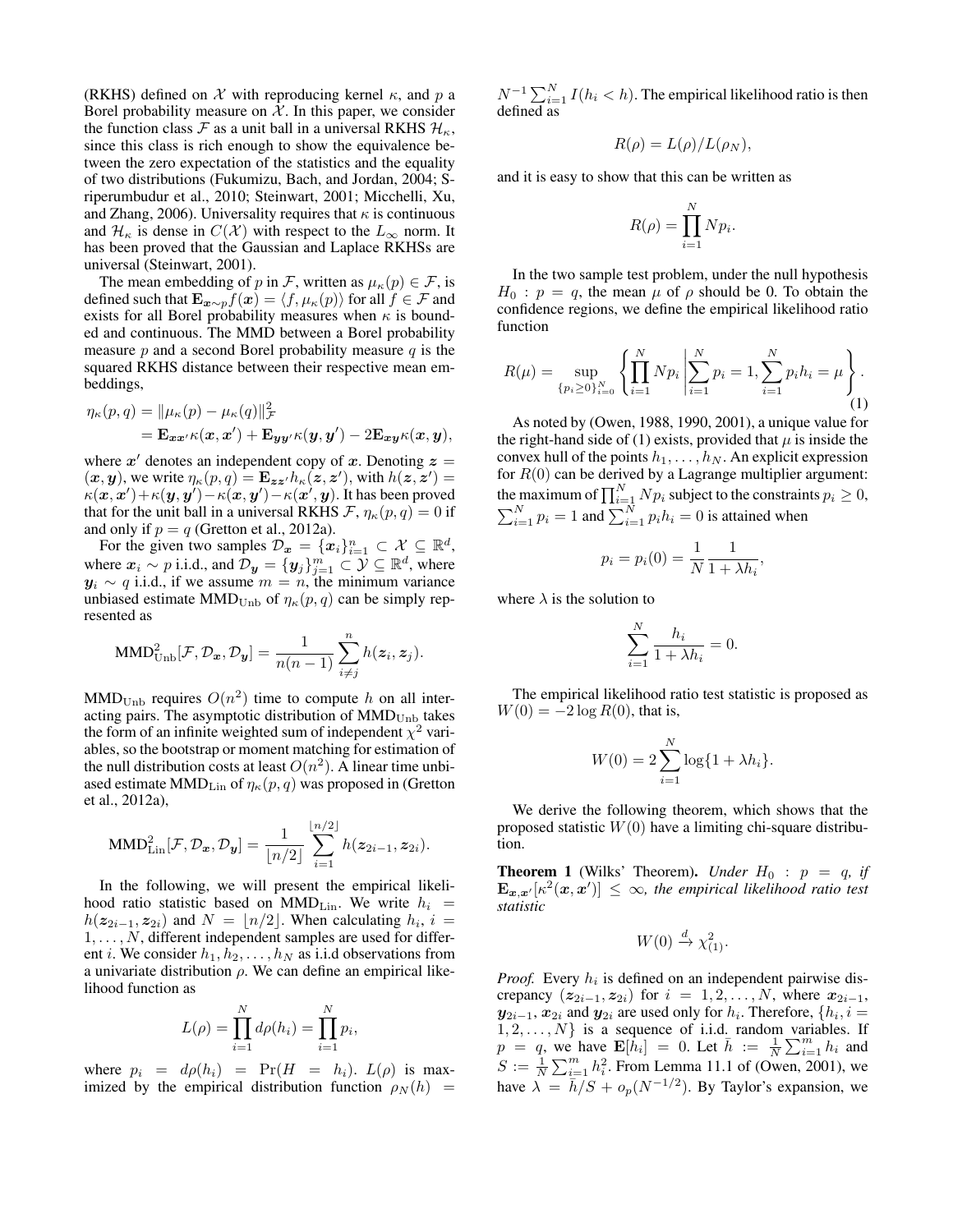(RKHS) defined on  $X$  with reproducing kernel  $\kappa$ , and p a Borel probability measure on  $X$ . In this paper, we consider the function class F as a unit ball in a universal RKHS  $\mathcal{H}_{\kappa}$ , since this class is rich enough to show the equivalence between the zero expectation of the statistics and the equality of two distributions (Fukumizu, Bach, and Jordan, 2004; Sriperumbudur et al., 2010; Steinwart, 2001; Micchelli, Xu, and Zhang, 2006). Universality requires that  $\kappa$  is continuous and  $\mathcal{H}_{\kappa}$  is dense in  $C(\mathcal{X})$  with respect to the  $L_{\infty}$  norm. It has been proved that the Gaussian and Laplace RKHSs are universal (Steinwart, 2001).

The mean embedding of p in F, written as  $\mu_{\kappa}(p) \in \mathcal{F}$ , is defined such that  $\mathbf{E}_{\boldsymbol{x} \sim p} f(\boldsymbol{x}) = \langle f, \mu_{\kappa}(p) \rangle$  for all  $f \in \mathcal{F}$  and exists for all Borel probability measures when  $\kappa$  is bounded and continuous. The MMD between a Borel probability measure  $p$  and a second Borel probability measure  $q$  is the squared RKHS distance between their respective mean embeddings,

$$
\eta_{\kappa}(p,q) = \|\mu_{\kappa}(p) - \mu_{\kappa}(q)\|_{\mathcal{F}}^2
$$
  
= 
$$
\mathbf{E}_{\boldsymbol{x}\boldsymbol{x}'}\kappa(\boldsymbol{x},\boldsymbol{x}') + \mathbf{E}_{\boldsymbol{y}\boldsymbol{y}'}\kappa(\boldsymbol{y},\boldsymbol{y}') - 2\mathbf{E}_{\boldsymbol{x}\boldsymbol{y}}\kappa(\boldsymbol{x},\boldsymbol{y}),
$$

where  $x'$  denotes an independent copy of x. Denoting  $z =$  $(\bm{x}, \bm{y})$ , we write  $\eta_{\kappa}(p, q) = \mathbf{E}_{\bm{z}\bm{z}'} h_{\kappa}(\bm{z}, \bm{z}')$ , with  $h(\bm{z}, \bm{z}') =$  $\kappa(\bm{x},\bm{x}')\!+\!\kappa(\bm{y},\bm{y}')\!-\!\kappa(\bm{x},\bm{y}')\!-\!\kappa(\bm{x}',\bm{y}).$  It has been proved that for the unit ball in a universal RKHS  $\mathcal{F}, \eta_{\kappa}(p,q) = 0$  if and only if  $p = q$  (Gretton et al., 2012a).

For the given two samples  $\mathcal{D}_x = \{x_i\}_{i=1}^n \subset \mathcal{X} \subseteq \mathbb{R}^d$ , where  $x_i \sim p$  i.i.d., and  $\mathcal{D}_y = \{y_j\}_{j=1}^m \subset \mathcal{Y} \subseteq \mathbb{R}^d$ , where  $y_i \sim q$  i.i.d., if we assume  $m = n$ , the minimum variance unbiased estimate MMD<sub>Unb</sub> of  $\eta_{\kappa}(p,q)$  can be simply represented as

$$
\text{MMD}_{\text{Unb}}^2[\mathcal{F}, \mathcal{D}_x, \mathcal{D}_y] = \frac{1}{n(n-1)} \sum_{i \neq j}^n h(z_i, z_j).
$$

 $MMD_{Unb}$  requires  $O(n^2)$  time to compute h on all interacting pairs. The asymptotic distribution of  $MMD_{Unb}$  takes the form of an infinite weighted sum of independent  $\chi^2$  variables, so the bootstrap or moment matching for estimation of the null distribution costs at least  $O(n^2)$ . A linear time unbiased estimate MMD<sub>Lin</sub> of  $\eta_{\kappa}(p,q)$  was proposed in (Gretton et al., 2012a),

$$
\text{MMD}_{\text{Lin}}^{2}[\mathcal{F}, \mathcal{D}_{\boldsymbol{x}}, \mathcal{D}_{\boldsymbol{y}}] = \frac{1}{\lfloor n/2 \rfloor} \sum_{i=1}^{\lfloor n/2 \rfloor} h(\boldsymbol{z}_{2i-1}, \boldsymbol{z}_{2i}).
$$

In the following, we will present the empirical likelihood ratio statistic based on MMD<sub>Lin</sub>. We write  $h_i$  =  $h(z_{2i-1}, z_{2i})$  and  $N = \lfloor n/2 \rfloor$ . When calculating  $h_i$ ,  $i =$  $1, \ldots, N$ , different independent samples are used for different *i*. We consider  $h_1, h_2, \ldots, h_N$  as i.i.d observations from a univariate distribution  $\rho$ . We can define an empirical likelihood function as

$$
L(\rho) = \prod_{i=1}^{N} d\rho(h_i) = \prod_{i=1}^{N} p_i,
$$

where  $p_i = d\rho(h_i) = Pr(H = h_i)$ .  $L(\rho)$  is maximized by the empirical distribution function  $\rho_N(h)$  =

 $N^{-1} \sum_{i=1}^{N} I(h_i < h)$ . The empirical likelihood ratio is then defined as

$$
R(\rho) = L(\rho)/L(\rho_N),
$$

and it is easy to show that this can be written as

$$
R(\rho) = \prod_{i=1}^{N} N p_i.
$$

In the two sample test problem, under the null hypothesis  $H_0$ :  $p = q$ , the mean  $\mu$  of  $\rho$  should be 0. To obtain the confidence regions, we define the empirical likelihood ratio function

$$
R(\mu) = \sup_{\{p_i \ge 0\}_{i=0}^N} \left\{ \prod_{i=1}^N N p_i \middle| \sum_{i=1}^N p_i = 1, \sum_{i=1}^N p_i h_i = \mu \right\}.
$$
\n(1)

As noted by (Owen, 1988, 1990, 2001), a unique value for the right-hand side of (1) exists, provided that  $\mu$  is inside the convex hull of the points  $h_1, \ldots, h_N$ . An explicit expression for  $R(0)$  can be derived by a Lagrange multiplier argument: the maximum of  $\prod_{i=1}^{N} N p_i$  subject to the constraints  $p_i \geq 0$ ,  $\sum_{i=1}^{N} p_i = 1$  and  $\sum_{i=1}^{N} p_i h_i = 0$  is attained when

$$
p_i = p_i(0) = \frac{1}{N} \frac{1}{1 + \lambda h_i},
$$

where  $\lambda$  is the solution to

$$
\sum_{i=1}^{N} \frac{h_i}{1 + \lambda h_i} = 0.
$$

The empirical likelihood ratio test statistic is proposed as  $W(0) = -2 \log R(0)$ , that is,

$$
W(0) = 2\sum_{i=1}^{N} \log\{1 + \lambda h_i\}.
$$

We derive the following theorem, which shows that the proposed statistic  $W(0)$  have a limiting chi-square distribution.

**Theorem 1** (Wilks' Theorem). *Under*  $H_0$  :  $p = q$ , if  $\mathbf{E}_{\bm{x},\bm{x}'}[\kappa^2(\bm{x},\bm{x}')] \leq \infty$ , the empirical likelihood ratio test *statistic*

$$
W(0) \xrightarrow{d} \chi^2_{(1)}.
$$

*Proof.* Every  $h_i$  is defined on an independent pairwise discrepancy  $(z_{2i-1}, z_{2i})$  for  $i = 1, 2, ..., N$ , where  $x_{2i-1}$ ,  $y_{2i-1}, x_{2i}$  and  $y_{2i}$  are used only for  $h_i$ . Therefore,  $\{h_i, i =$  $1, 2, \ldots, N$  is a sequence of i.i.d. random variables. If  $p = q$ , we have  $\mathbf{E}[\dot{h}_i] = 0$ . Let  $\bar{h} := \frac{1}{N} \sum_{i=1}^m h_i$  and  $S := \frac{1}{N} \sum_{i=1}^{m} h_i^2$ . From Lemma 11.1 of (Owen, 2001), we have  $\lambda = \bar{h}/S + o_p(N^{-1/2})$ . By Taylor's expansion, we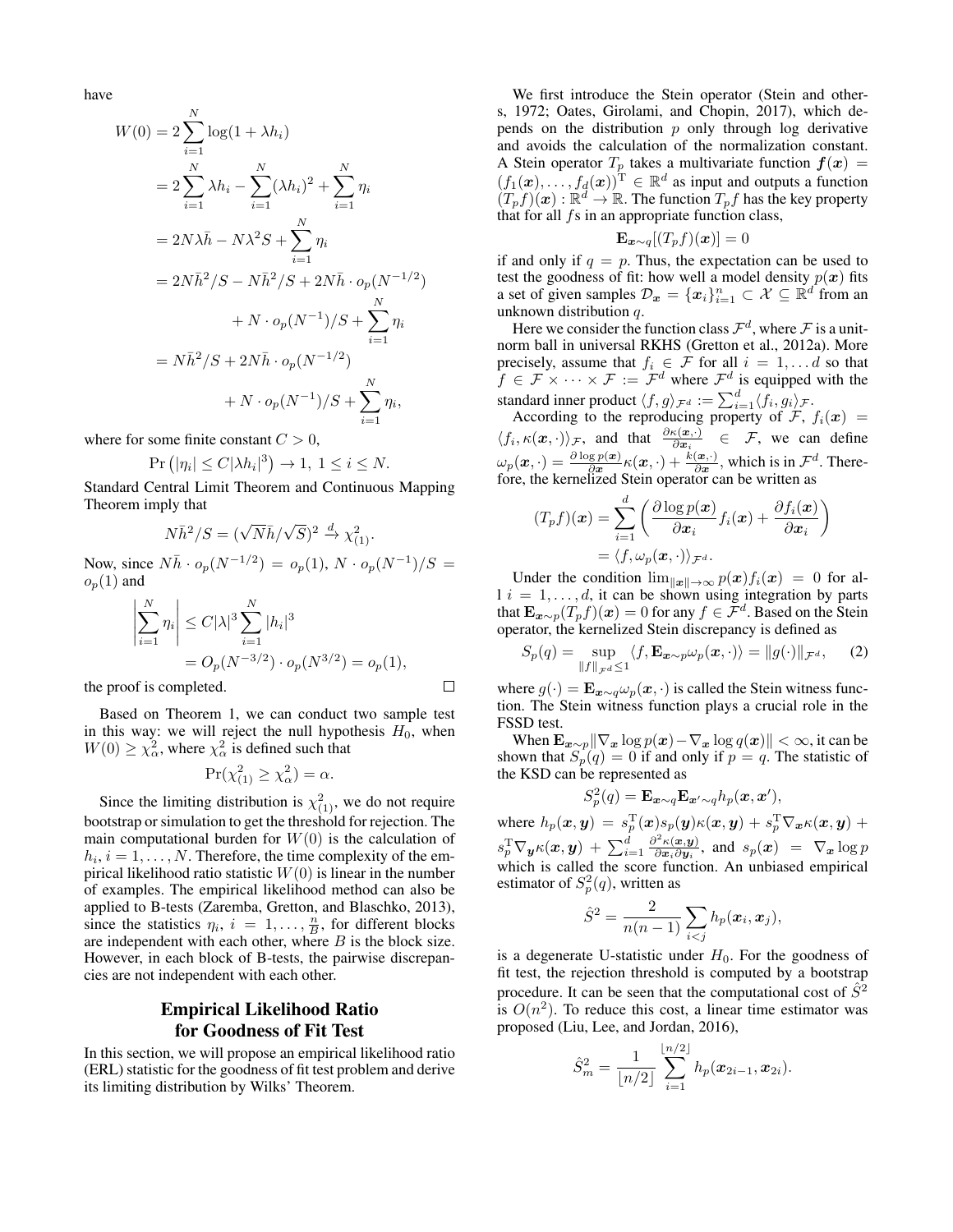have

$$
W(0) = 2 \sum_{i=1}^{N} \log(1 + \lambda h_i)
$$
  
=  $2 \sum_{i=1}^{N} \lambda h_i - \sum_{i=1}^{N} (\lambda h_i)^2 + \sum_{i=1}^{N} \eta_i$   
=  $2N\lambda \bar{h} - N\lambda^2 S + \sum_{i=1}^{N} \eta_i$   
=  $2N\bar{h}^2/S - N\bar{h}^2/S + 2N\bar{h} \cdot o_p(N^{-1/2})$   
+  $N \cdot o_p(N^{-1})/S + \sum_{i=1}^{N} \eta_i$   
=  $N\bar{h}^2/S + 2N\bar{h} \cdot o_p(N^{-1/2})$   
+  $N \cdot o_p(N^{-1})/S + \sum_{i=1}^{N} \eta_i$ ,

where for some finite constant  $C > 0$ ,

$$
Pr(|\eta_i| \le C|\lambda h_i|^3) \to 1, \ 1 \le i \le N.
$$

Standard Central Limit Theorem and Continuous Mapping Theorem imply that

$$
N\bar{h}^2/S = (\sqrt{N}\bar{h}/\sqrt{S})^2 \stackrel{d}{\to} \chi^2_{(1)}.
$$

Now, since  $N\bar{h} \cdot o_p(N^{-1/2}) = o_p(1), N \cdot o_p(N^{-1})/S =$  $o_p(1)$  and

$$
\left| \sum_{i=1}^{N} \eta_i \right| \leq C |\lambda|^3 \sum_{i=1}^{N} |h_i|^3
$$
  
=  $O_p(N^{-3/2}) \cdot o_p(N^{3/2}) = o_p(1),$ 

 $\Box$ 

the proof is completed.

Based on Theorem 1, we can conduct two sample test in this way: we will reject the null hypothesis  $H_0$ , when  $W(0) \ge \chi_{\alpha}^2$ , where  $\chi_{\alpha}^2$  is defined such that

$$
Pr(\chi_{(1)}^2 \ge \chi_{\alpha}^2) = \alpha.
$$

Since the limiting distribution is  $\chi^2_{(1)}$ , we do not require bootstrap or simulation to get the threshold for rejection. The main computational burden for  $W(0)$  is the calculation of  $h_i$ ,  $i = 1, \ldots, N$ . Therefore, the time complexity of the empirical likelihood ratio statistic  $W(0)$  is linear in the number of examples. The empirical likelihood method can also be applied to B-tests (Zaremba, Gretton, and Blaschko, 2013), since the statistics  $\eta_i$ ,  $i = 1, \ldots, \frac{n}{B}$ , for different blocks are independent with each other, where  $B$  is the block size. However, in each block of B-tests, the pairwise discrepancies are not independent with each other.

## Empirical Likelihood Ratio for Goodness of Fit Test

In this section, we will propose an empirical likelihood ratio (ERL) statistic for the goodness of fit test problem and derive its limiting distribution by Wilks' Theorem.

We first introduce the Stein operator (Stein and others, 1972; Oates, Girolami, and Chopin, 2017), which depends on the distribution  $p$  only through log derivative and avoids the calculation of the normalization constant. A Stein operator  $T_p$  takes a multivariate function  $f(x) =$  $(f_1(\boldsymbol{x}), \ldots, f_d(\boldsymbol{x}))^{\mathrm{T}} \in \mathbb{R}^d$  as input and outputs a function  $(T_p f)(x) : \mathbb{R}^d \to \mathbb{R}$ . The function  $T_p f$  has the key property that for all  $fs$  in an appropriate function class,

$$
\mathbf{E}_{\boldsymbol{x}\sim q}[(T_p f)(\boldsymbol{x})] = 0
$$

if and only if  $q = p$ . Thus, the expectation can be used to test the goodness of fit: how well a model density  $p(x)$  fits a set of given samples  $\mathcal{D}_x = \{x_i\}_{i=1}^n \subset \mathcal{X} \subseteq \mathbb{R}^d$  from an unknown distribution q.

Here we consider the function class  $\mathcal{F}^d$ , where  $\mathcal F$  is a unitnorm ball in universal RKHS (Gretton et al., 2012a). More precisely, assume that  $f_i \in \mathcal{F}$  for all  $i = 1, \dots d$  so that  $f \in \mathcal{F} \times \cdots \times \mathcal{F} := \mathcal{F}^d$  where  $\mathcal{F}^d$  is equipped with the standard inner product  $\langle f, g \rangle_{\mathcal{F}^d} := \sum_{i=1}^d \langle f_i, g_i \rangle_{\mathcal{F}}$ .

According to the reproducing property of  $\mathcal{F}$ ,  $f_i(\boldsymbol{x}) =$  $\langle f_i, \kappa(\boldsymbol{x}, \cdot) \rangle_{\mathcal{F}}$ , and that  $\frac{\partial \kappa(\boldsymbol{x}, \cdot)}{\partial \boldsymbol{x}_i} \in \mathcal{F}$ , we can define  $\omega_p(x, \cdot) = \frac{\partial \log p(x)}{\partial x} \kappa(x, \cdot) + \frac{k(x, \cdot)}{\partial x}$ , which is in  $\mathcal{F}^d$ . Therefore, the kernelized Stein operator can be written as

$$
(T_p f)(\boldsymbol{x}) = \sum_{i=1}^d \left( \frac{\partial \log p(\boldsymbol{x})}{\partial \boldsymbol{x}_i} f_i(\boldsymbol{x}) + \frac{\partial f_i(\boldsymbol{x})}{\partial \boldsymbol{x}_i} \right)
$$

$$
= \langle f, \omega_p(\boldsymbol{x}, \cdot) \rangle_{\mathcal{F}^d}.
$$

Under the condition  $\lim_{\|\mathbf{x}\| \to \infty} p(\mathbf{x})f_i(\mathbf{x}) = 0$  for al $l \, i = 1, \ldots, d$ , it can be shown using integration by parts that  $\mathbf{E}_{\bm{x} \sim p}(T_p f)(\bm{x}) = 0$  for any  $f \in \mathcal{F}^d$ . Based on the Stein operator, the kernelized Stein discrepancy is defined as

$$
S_p(q) = \sup_{\|f\|_{\mathcal{F}^d} \le 1} \langle f, \mathbf{E}_{\mathbf{x} \sim p} \omega_p(\mathbf{x}, \cdot) \rangle = \|g(\cdot)\|_{\mathcal{F}^d}, \quad (2)
$$

where  $g(\cdot) = \mathbf{E}_{\mathbf{x} \sim q} \omega_p(\mathbf{x}, \cdot)$  is called the Stein witness function. The Stein witness function plays a crucial role in the FSSD test.

When  $\mathbf{E}_{\bm{x} \sim p} \|\nabla_{\bm{x}} \log p(\bm{x}) - \nabla_{\bm{x}} \log q(\bm{x})\| < \infty$ , it can be shown that  $S_p(q) = 0$  if and only if  $p = q$ . The statistic of the KSD can be represented as

$$
S_p^2(q) = \mathbf{E}_{\boldsymbol{x}\sim q} \mathbf{E}_{\boldsymbol{x}'\sim q} h_p(\boldsymbol{x}, \boldsymbol{x}'),
$$

where  $h_p(\bm{x}, \bm{y}) = s_p^{\mathrm{T}}(\bm{x})s_p(\bm{y})\kappa(\bm{x}, \bm{y}) + s_p^{\mathrm{T}}\nabla_{\bm{x}}\kappa(\bm{x}, \bm{y}) +$  $s_p^{\rm T} \nabla_{\bm y} \kappa(\bm x, \bm y) ~+~ \sum_{i=1}^d \frac{\partial^2 \kappa(\bm x, \bm y)}{\partial \bm x_i \partial \bm y_i}$  $\frac{\partial \mathcal{L}(\mathbf{x}, \mathbf{y})}{\partial \mathbf{x}_i \partial \mathbf{y}_i}$ , and  $s_p(\mathbf{x}) = \nabla_{\mathbf{x}} \log p$ which is called the score function. An unbiased empirical estimator of  $S_p^2(q)$ , written as

$$
\hat{S}^2 = \frac{2}{n(n-1)} \sum_{i < j} h_p(\boldsymbol{x}_i, \boldsymbol{x}_j),
$$

is a degenerate U-statistic under  $H_0$ . For the goodness of fit test, the rejection threshold is computed by a bootstrap procedure. It can be seen that the computational cost of  $\hat{S}^2$ is  $O(n^2)$ . To reduce this cost, a linear time estimator was proposed (Liu, Lee, and Jordan, 2016),

$$
\hat{S}_m^2 = \frac{1}{\lfloor n/2 \rfloor} \sum_{i=1}^{\lfloor n/2 \rfloor} h_p(\boldsymbol{x}_{2i-1}, \boldsymbol{x}_{2i}).
$$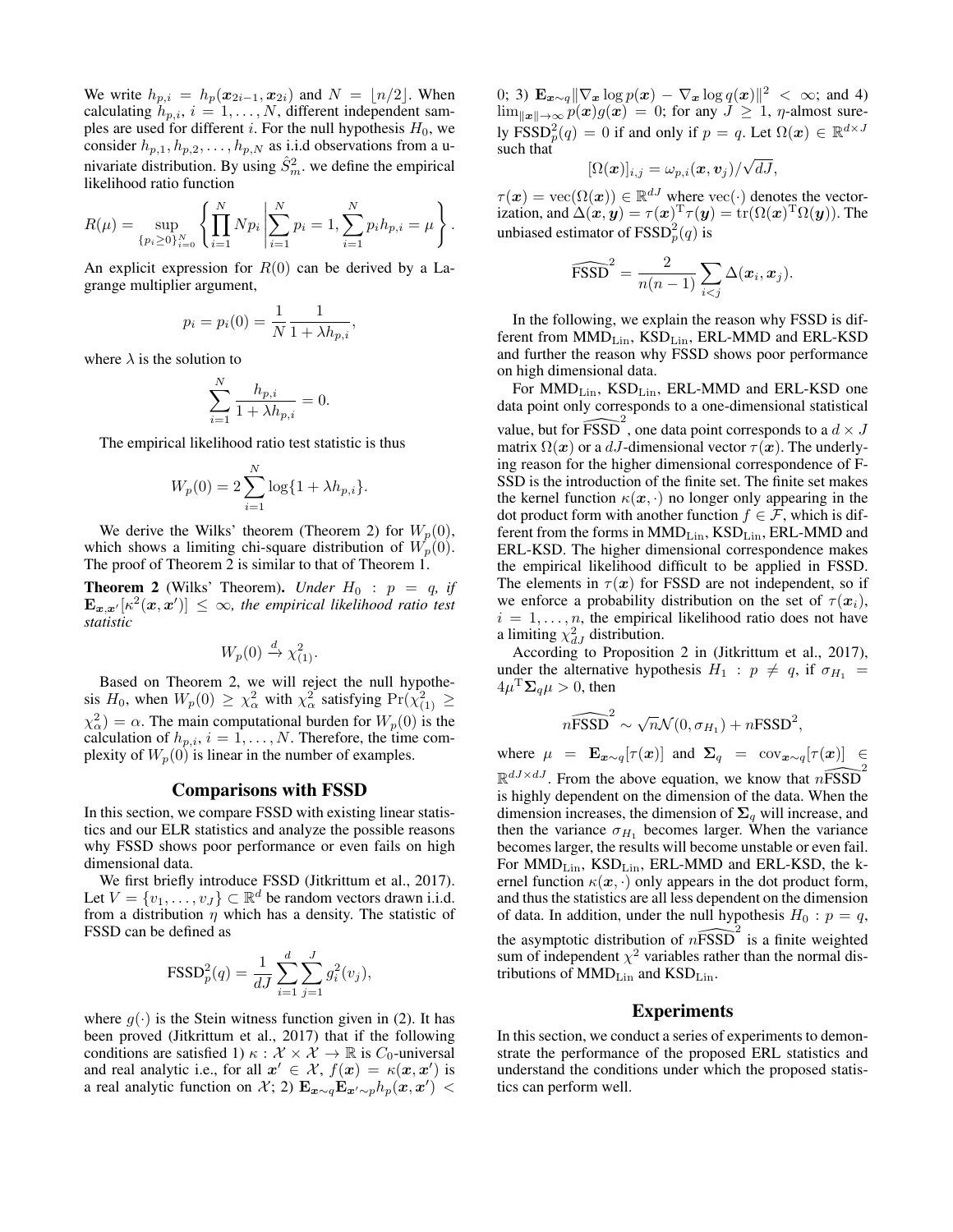We write  $h_{p,i} = h_p(\mathbf{x}_{2i-1}, \mathbf{x}_{2i})$  and  $N = \lfloor n/2 \rfloor$ . When calculating  $h_{p,i}$ ,  $i = 1, \ldots, N$ , different independent samples are used for different i. For the null hypothesis  $H_0$ , we consider  $h_{p,1}, h_{p,2}, \ldots, h_{p,N}$  as i.i.d observations from a univariate distribution. By using  $\hat{S}_m^2$ , we define the empirical likelihood ratio function

$$
R(\mu) = \sup_{\{p_i \ge 0\}_{i=0}^N} \left\{ \prod_{i=1}^N N p_i \middle| \sum_{i=1}^N p_i = 1, \sum_{i=1}^N p_i h_{p,i} = \mu \right\}.
$$

An explicit expression for  $R(0)$  can be derived by a Lagrange multiplier argument,

$$
p_i = p_i(0) = \frac{1}{N} \frac{1}{1 + \lambda h_{p,i}}
$$

,

where  $\lambda$  is the solution to

$$
\sum_{i=1}^{N} \frac{h_{p,i}}{1 + \lambda h_{p,i}} = 0.
$$

The empirical likelihood ratio test statistic is thus

$$
W_p(0) = 2\sum_{i=1}^{N} \log\{1 + \lambda h_{p,i}\}.
$$

We derive the Wilks' theorem (Theorem 2) for  $W_p(0)$ , which shows a limiting chi-square distribution of  $W_p(0)$ . The proof of Theorem 2 is similar to that of Theorem 1.

**Theorem 2** (Wilks' Theorem). *Under*  $H_0$  :  $p = q$ , if  $\mathbf{E}_{\bm{x},\bm{x}'}[\kappa^2(\bm{x},\bm{x}')] \leq \infty$ , the empirical likelihood ratio test *statistic*

$$
W_p(0) \xrightarrow{d} \chi^2_{(1)}.
$$

Based on Theorem 2, we will reject the null hypothesis  $H_0$ , when  $W_p(0) \ge \chi^2_{\alpha}$  with  $\chi^2_{\alpha}$  satisfying  $\Pr(\chi^2_{(1)} \ge \chi^2_{(2)})$  $\chi^2_{\alpha}$ ) =  $\alpha$ . The main computational burden for  $W_p(0)$  is the calculation of  $h_{p,i}$ ,  $i = 1, \ldots, N$ . Therefore, the time complexity of  $W_p(0)$  is linear in the number of examples.

### Comparisons with FSSD

In this section, we compare FSSD with existing linear statistics and our ELR statistics and analyze the possible reasons why FSSD shows poor performance or even fails on high dimensional data.

We first briefly introduce FSSD (Jitkrittum et al., 2017). Let  $V = \{v_1, \ldots, v_J\} \subset \mathbb{R}^d$  be random vectors drawn i.i.d. from a distribution  $\eta$  which has a density. The statistic of FSSD can be defined as

$$
\text{FSSD}_p^2(q) = \frac{1}{dJ} \sum_{i=1}^d \sum_{j=1}^J g_i^2(v_j),
$$

where  $g(\cdot)$  is the Stein witness function given in (2). It has been proved (Jitkrittum et al., 2017) that if the following conditions are satisfied 1)  $\kappa : \mathcal{X} \times \mathcal{X} \to \mathbb{R}$  is  $C_0$ -universal and real analytic i.e., for all  $x' \in \mathcal{X}$ ,  $f(x) = \kappa(x, x')$  is a real analytic function on X; 2)  $\mathbf{E}_{\bm{x}\sim q} \mathbf{E}_{\bm{x}'\sim p} h_p(\bm{x}, \bm{x}')$ 

0; 3)  $\mathbf{E}_{\boldsymbol{x} \sim q} \|\nabla_{\boldsymbol{x}} \log p(\boldsymbol{x}) - \nabla_{\boldsymbol{x}} \log q(\boldsymbol{x})\|^2 < \infty$ ; and 4)  $\lim_{\|\mathbf{x}\| \to \infty} p(\mathbf{x})g(\mathbf{x}) = 0$ ; for any  $J \geq 1$ ,  $\eta$ -almost surely  $\text{FSSD}_p^2(q) = 0$  if and only if  $p = q$ . Let  $\Omega(\boldsymbol{x}) \in \mathbb{R}^{d \times J}$ such that √

$$
[\Omega(\boldsymbol{x})]_{i,j}=\omega_{p,i}(\boldsymbol{x},\boldsymbol{v}_j)/\sqrt{dJ},
$$

 $\tau(\boldsymbol{x}) = \text{vec}(\Omega(\boldsymbol{x})) \in \mathbb{R}^{dJ}$  where  $\text{vec}(\cdot)$  denotes the vectorization, and  $\Delta(\bm{x}, \bm{y}) = \tau(\bm{x})^{\text{T}} \tau(\bm{y}) = \text{tr}(\Omega(\bm{x})^{\text{T}} \Omega(\bm{y}))$ . The unbiased estimator of  $\text{FSSD}_p^2(q)$  is

$$
\widehat{\text{FSSD}}^2 = \frac{2}{n(n-1)} \sum_{i < j} \Delta(\boldsymbol{x}_i, \boldsymbol{x}_j).
$$

In the following, we explain the reason why FSSD is different from  $MMD_{Lin}$ ,  $KSD_{Lin}$ , ERL-MMD and ERL-KSD and further the reason why FSSD shows poor performance on high dimensional data.

For  $MMD_{Lin}$ ,  $KSD_{Lin}$ , ERL-MMD and ERL-KSD one data point only corresponds to a one-dimensional statistical value, but for  $\widehat{\text{FSSD}}^2$ , one data point corresponds to a  $d \times J$ matrix  $\Omega(x)$  or a dJ-dimensional vector  $\tau(x)$ . The underlying reason for the higher dimensional correspondence of F-SSD is the introduction of the finite set. The finite set makes the kernel function  $\kappa(\mathbf{x}, \cdot)$  no longer only appearing in the dot product form with another function  $f \in \mathcal{F}$ , which is different from the forms in  $MMD_{Lin}$ ,  $KSD_{Lin}$ , ERL-MMD and ERL-KSD. The higher dimensional correspondence makes the empirical likelihood difficult to be applied in FSSD. The elements in  $\tau(x)$  for FSSD are not independent, so if we enforce a probability distribution on the set of  $\tau(\mathbf{x}_i)$ ,  $i = 1, \ldots, n$ , the empirical likelihood ratio does not have a limiting  $\chi_{dJ}^2$  distribution.

According to Proposition 2 in (Jitkrittum et al., 2017), under the alternative hypothesis  $H_1$ :  $p \neq q$ , if  $\sigma_{H_1}$  =  $4\mu$ <sup>T</sup> $\Sigma_q$  $\mu > 0$ , then

$$
n\widehat{\text{FSSD}}^2 \sim \sqrt{n}\mathcal{N}(0, \sigma_{H_1}) + n\text{FSSD}^2,
$$

where  $\mu = \mathbf{E}_{\mathbf{x} \sim q} [\tau(\mathbf{x})]$  and  $\mathbf{\Sigma}_q = \cos \tau_{\mathbf{x} \sim q} [\tau(\mathbf{x})] \in$  $\mathbb{R}^{dJ \times dJ}$ . From the above equation, we know that  $n\widehat{\text{FSSD}}^2$ is highly dependent on the dimension of the data. When the dimension increases, the dimension of  $\Sigma_q$  will increase, and then the variance  $\sigma_{H_1}$  becomes larger. When the variance becomes larger, the results will become unstable or even fail. For  $MMD_{Lin}$ ,  $KSD_{Lin}$ , ERL-MMD and ERL-KSD, the kernel function  $\kappa(x, \cdot)$  only appears in the dot product form, and thus the statistics are all less dependent on the dimension of data. In addition, under the null hypothesis  $H_0$ :  $p = q$ , the asymptotic distribution of  $n\widehat{\text{FSSD}}^2$  is a finite weighted sum of independent  $\chi^2$  variables rather than the normal distributions of MMD<sub>Lin</sub> and KSD<sub>Lin</sub>.

### Experiments

In this section, we conduct a series of experiments to demonstrate the performance of the proposed ERL statistics and understand the conditions under which the proposed statistics can perform well.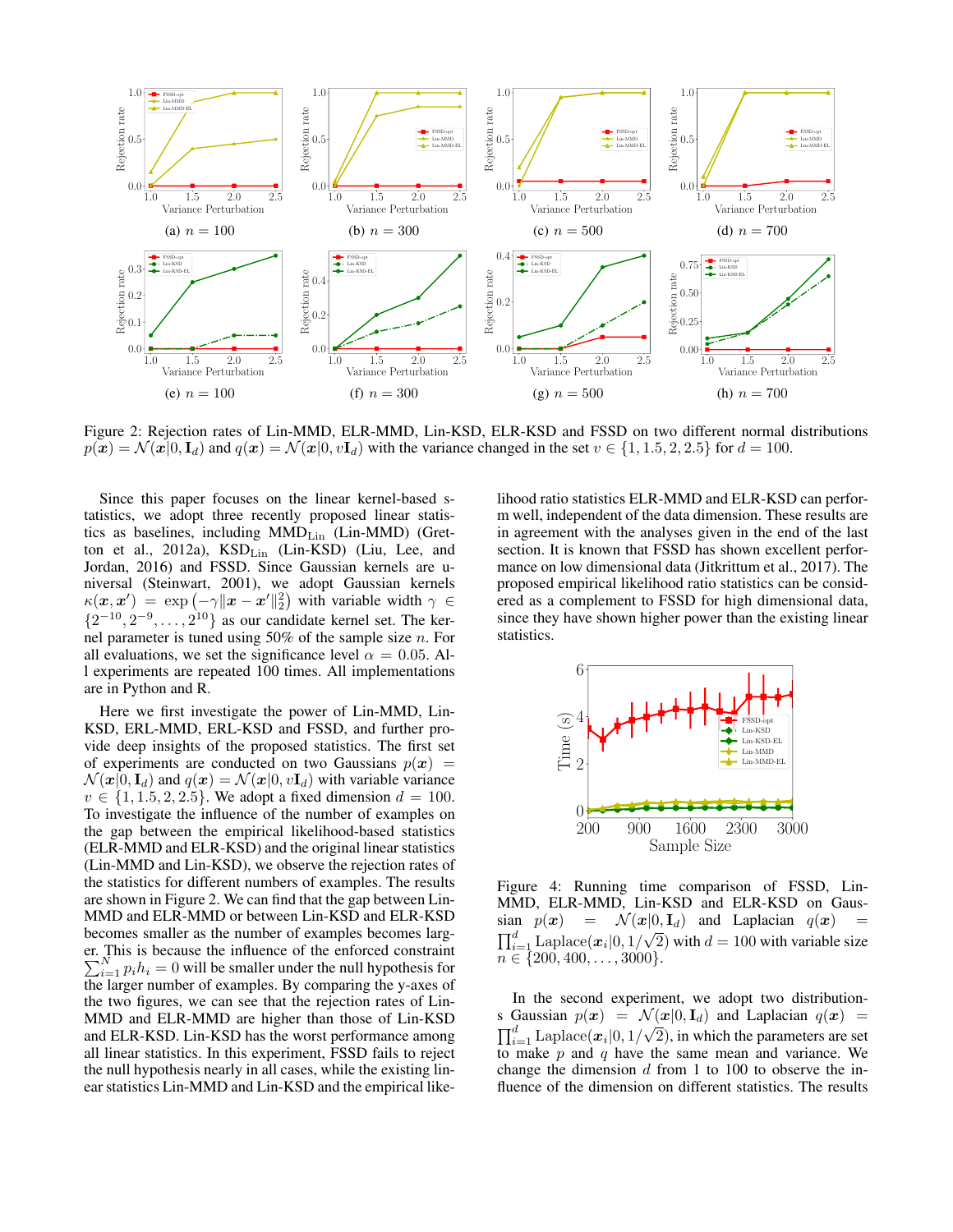

Figure 2: Rejection rates of Lin-MMD, ELR-MMD, Lin-KSD, ELR-KSD and FSSD on two different normal distributions  $p(x) = \mathcal{N}(x|0, I_d)$  and  $q(x) = \mathcal{N}(x|0, vI_d)$  with the variance changed in the set  $v \in \{1, 1.5, 2, 2.5\}$  for  $d = 100$ .

Since this paper focuses on the linear kernel-based statistics, we adopt three recently proposed linear statistics as baselines, including  $MMD_{Lin}$  (Lin-MMD) (Gretton et al., 2012a), KSD<sub>Lin</sub> (Lin-KSD) (Liu, Lee, and Jordan, 2016) and FSSD. Since Gaussian kernels are universal (Steinwart, 2001), we adopt Gaussian kernels  $\kappa(\mathbf{x}, \mathbf{x}') = \exp(-\gamma \|\mathbf{x} - \mathbf{x}'\|_2^2)$  with variable width  $\gamma \in$  $\{2^{-10}, 2^{-9}, \ldots, 2^{10}\}\$ as our candidate kernel set. The kernel parameter is tuned using 50% of the sample size n. For all evaluations, we set the significance level  $\alpha = 0.05$ . All experiments are repeated 100 times. All implementations are in Python and R.

Here we first investigate the power of Lin-MMD, Lin-KSD, ERL-MMD, ERL-KSD and FSSD, and further provide deep insights of the proposed statistics. The first set of experiments are conducted on two Gaussians  $p(x)$  =  $\mathcal{N}(\mathbf{x}|0, \mathbf{I}_d)$  and  $q(\mathbf{x}) = \mathcal{N}(\mathbf{x}|0, v\mathbf{I}_d)$  with variable variance  $v \in \{1, 1.5, 2, 2.5\}$ . We adopt a fixed dimension  $d = 100$ . To investigate the influence of the number of examples on the gap between the empirical likelihood-based statistics (ELR-MMD and ELR-KSD) and the original linear statistics (Lin-MMD and Lin-KSD), we observe the rejection rates of the statistics for different numbers of examples. The results are shown in Figure 2. We can find that the gap between Lin-MMD and ELR-MMD or between Lin-KSD and ELR-KSD becomes smaller as the number of examples becomes larger. This is because the influence of the enforced constraint  $\sum_{i=1}^{N} p_i h_i = 0$  will be smaller under the null hypothesis for the larger number of examples. By comparing the y-axes of the two figures, we can see that the rejection rates of Lin-MMD and ELR-MMD are higher than those of Lin-KSD and ELR-KSD. Lin-KSD has the worst performance among all linear statistics. In this experiment, FSSD fails to reject the null hypothesis nearly in all cases, while the existing linear statistics Lin-MMD and Lin-KSD and the empirical likelihood ratio statistics ELR-MMD and ELR-KSD can perform well, independent of the data dimension. These results are in agreement with the analyses given in the end of the last section. It is known that FSSD has shown excellent performance on low dimensional data (Jitkrittum et al., 2017). The proposed empirical likelihood ratio statistics can be considered as a complement to FSSD for high dimensional data, since they have shown higher power than the existing linear statistics.



Figure 4: Running time comparison of FSSD, Lin-MMD, ELR-MMD, Lin-KSD and ELR-KSD on Gaussian  $p(x) = \mathcal{N}(x|0, \mathbf{I}_d)$  and Laplacian  $q(x) = \frac{d}{dx}$  $\prod_{i=1}^{d}$  Laplace $(x_i|0, 1/\sqrt{2})$  with  $d = 100$  with variable size  $n \in \{200, 400, \ldots, 3000\}.$ 

In the second experiment, we adopt two distributions Gaussian  $p(x) = \mathcal{N}(x|0, \mathbf{I}_d)$  and Laplacian  $q(x) = \nabla^d$  $\prod_{i=1}^d \mathrm{Laplace}(\bm{x}_i|0,1/\sqrt{2}),$  in which the parameters are set to make  $p$  and  $q$  have the same mean and variance. We change the dimension  $d$  from 1 to 100 to observe the influence of the dimension on different statistics. The results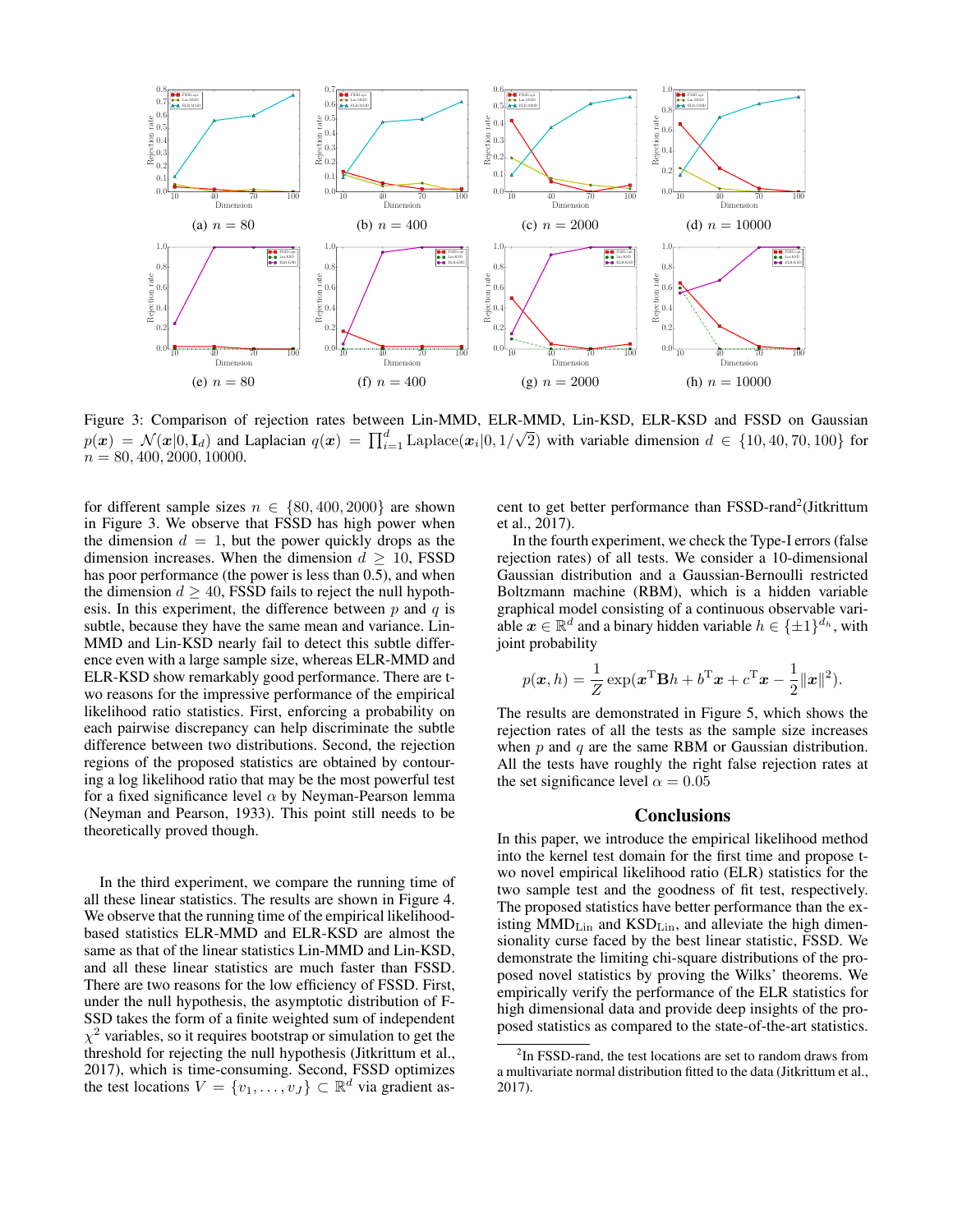

Figure 3: Comparison of rejection rates between Lin-MMD, ELR-MMD, Lin-KSD, ELR-KSD and FSSD on Gaussian  $p(\boldsymbol{x}) = \mathcal{N}(\boldsymbol{x}|0,\mathbf{I}_d)$  and Laplacian  $q(\boldsymbol{x}) = \prod_{i=1}^d \mathrm{Laplace}(\boldsymbol{x}_i|0,1/d)$ √ 2) with variable dimension  $d \in \{10, 40, 70, 100\}$  for  $n = 80, 400, 2000, 10000.$ 

for different sample sizes  $n \in \{80, 400, 2000\}$  are shown in Figure 3. We observe that FSSD has high power when the dimension  $d = 1$ , but the power quickly drops as the dimension increases. When the dimension  $d \geq 10$ , FSSD has poor performance (the power is less than 0.5), and when the dimension  $d \geq 40$ , FSSD fails to reject the null hypothesis. In this experiment, the difference between  $p$  and  $q$  is subtle, because they have the same mean and variance. Lin-MMD and Lin-KSD nearly fail to detect this subtle difference even with a large sample size, whereas ELR-MMD and ELR-KSD show remarkably good performance. There are two reasons for the impressive performance of the empirical likelihood ratio statistics. First, enforcing a probability on each pairwise discrepancy can help discriminate the subtle difference between two distributions. Second, the rejection regions of the proposed statistics are obtained by contouring a log likelihood ratio that may be the most powerful test for a fixed significance level  $\alpha$  by Neyman-Pearson lemma (Neyman and Pearson, 1933). This point still needs to be theoretically proved though.

In the third experiment, we compare the running time of all these linear statistics. The results are shown in Figure 4. We observe that the running time of the empirical likelihoodbased statistics ELR-MMD and ELR-KSD are almost the same as that of the linear statistics Lin-MMD and Lin-KSD, and all these linear statistics are much faster than FSSD. There are two reasons for the low efficiency of FSSD. First, under the null hypothesis, the asymptotic distribution of F-SSD takes the form of a finite weighted sum of independent  $\chi^2$  variables, so it requires bootstrap or simulation to get the threshold for rejecting the null hypothesis (Jitkrittum et al., 2017), which is time-consuming. Second, FSSD optimizes the test locations  $V = \{v_1, \ldots, v_J\} \subset \mathbb{R}^d$  via gradient as-

cent to get better performance than FSSD-rand<sup>2</sup>(Jitkrittum et al., 2017).

In the fourth experiment, we check the Type-I errors (false rejection rates) of all tests. We consider a 10-dimensional Gaussian distribution and a Gaussian-Bernoulli restricted Boltzmann machine (RBM), which is a hidden variable graphical model consisting of a continuous observable variable  $x \in \mathbb{R}^d$  and a binary hidden variable  $h \in \{\pm 1\}^{d_h}$ , with joint probability

$$
p(\boldsymbol{x},h) = \frac{1}{Z} \exp(\boldsymbol{x}^{\mathrm{T}} \mathbf{B} h + b^{\mathrm{T}} \boldsymbol{x} + c^{\mathrm{T}} \boldsymbol{x} - \frac{1}{2} ||\boldsymbol{x}||^2).
$$

The results are demonstrated in Figure 5, which shows the rejection rates of all the tests as the sample size increases when  $p$  and  $q$  are the same RBM or Gaussian distribution. All the tests have roughly the right false rejection rates at the set significance level  $\alpha = 0.05$ 

### **Conclusions**

In this paper, we introduce the empirical likelihood method into the kernel test domain for the first time and propose two novel empirical likelihood ratio (ELR) statistics for the two sample test and the goodness of fit test, respectively. The proposed statistics have better performance than the existing MMD<sub>Lin</sub> and KSD<sub>Lin</sub>, and alleviate the high dimensionality curse faced by the best linear statistic, FSSD. We demonstrate the limiting chi-square distributions of the proposed novel statistics by proving the Wilks' theorems. We empirically verify the performance of the ELR statistics for high dimensional data and provide deep insights of the proposed statistics as compared to the state-of-the-art statistics.

<sup>&</sup>lt;sup>2</sup>In FSSD-rand, the test locations are set to random draws from a multivariate normal distribution fitted to the data (Jitkrittum et al., 2017).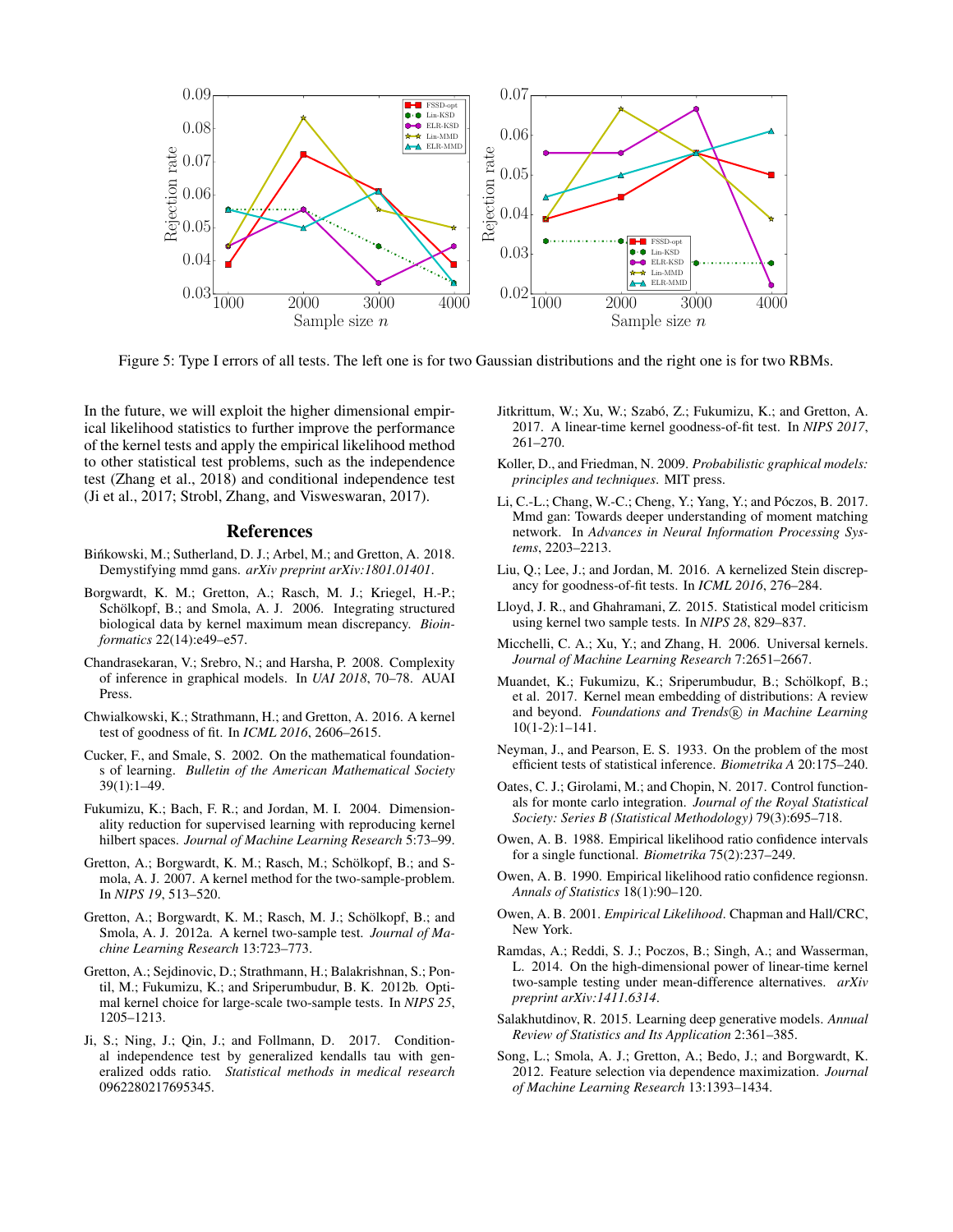

Figure 5: Type I errors of all tests. The left one is for two Gaussian distributions and the right one is for two RBMs.

In the future, we will exploit the higher dimensional empirical likelihood statistics to further improve the performance of the kernel tests and apply the empirical likelihood method to other statistical test problems, such as the independence test (Zhang et al., 2018) and conditional independence test (Ji et al., 2017; Strobl, Zhang, and Visweswaran, 2017).

### References

- Binkowski, M.; Sutherland, D. J.; Arbel, M.; and Gretton, A. 2018. Demystifying mmd gans. *arXiv preprint arXiv:1801.01401*.
- Borgwardt, K. M.; Gretton, A.; Rasch, M. J.; Kriegel, H.-P.; Schölkopf, B.; and Smola, A. J. 2006. Integrating structured biological data by kernel maximum mean discrepancy. *Bioinformatics* 22(14):e49–e57.
- Chandrasekaran, V.; Srebro, N.; and Harsha, P. 2008. Complexity of inference in graphical models. In *UAI 2018*, 70–78. AUAI Press.
- Chwialkowski, K.; Strathmann, H.; and Gretton, A. 2016. A kernel test of goodness of fit. In *ICML 2016*, 2606–2615.
- Cucker, F., and Smale, S. 2002. On the mathematical foundations of learning. *Bulletin of the American Mathematical Society* 39(1):1–49.
- Fukumizu, K.; Bach, F. R.; and Jordan, M. I. 2004. Dimensionality reduction for supervised learning with reproducing kernel hilbert spaces. *Journal of Machine Learning Research* 5:73–99.
- Gretton, A.; Borgwardt, K. M.; Rasch, M.; Schölkopf, B.; and Smola, A. J. 2007. A kernel method for the two-sample-problem. In *NIPS 19*, 513–520.
- Gretton, A.; Borgwardt, K. M.; Rasch, M. J.; Schölkopf, B.; and Smola, A. J. 2012a. A kernel two-sample test. *Journal of Machine Learning Research* 13:723–773.
- Gretton, A.; Sejdinovic, D.; Strathmann, H.; Balakrishnan, S.; Pontil, M.; Fukumizu, K.; and Sriperumbudur, B. K. 2012b. Optimal kernel choice for large-scale two-sample tests. In *NIPS 25*, 1205–1213.
- Ji, S.; Ning, J.; Qin, J.; and Follmann, D. 2017. Conditional independence test by generalized kendalls tau with generalized odds ratio. *Statistical methods in medical research* 0962280217695345.
- Jitkrittum, W.; Xu, W.; Szabó, Z.; Fukumizu, K.; and Gretton, A. 2017. A linear-time kernel goodness-of-fit test. In *NIPS 2017*, 261–270.
- Koller, D., and Friedman, N. 2009. *Probabilistic graphical models: principles and techniques*. MIT press.
- Li, C.-L.; Chang, W.-C.; Cheng, Y.; Yang, Y.; and Póczos, B. 2017. Mmd gan: Towards deeper understanding of moment matching network. In *Advances in Neural Information Processing Systems*, 2203–2213.
- Liu, Q.; Lee, J.; and Jordan, M. 2016. A kernelized Stein discrepancy for goodness-of-fit tests. In *ICML 2016*, 276–284.
- Lloyd, J. R., and Ghahramani, Z. 2015. Statistical model criticism using kernel two sample tests. In *NIPS 28*, 829–837.
- Micchelli, C. A.; Xu, Y.; and Zhang, H. 2006. Universal kernels. *Journal of Machine Learning Research* 7:2651–2667.
- Muandet, K.; Fukumizu, K.; Sriperumbudur, B.; Schölkopf, B.; et al. 2017. Kernel mean embedding of distributions: A review and beyond. *Foundations and Trends*(R) in Machine Learning 10(1-2):1–141.
- Neyman, J., and Pearson, E. S. 1933. On the problem of the most efficient tests of statistical inference. *Biometrika A* 20:175–240.
- Oates, C. J.; Girolami, M.; and Chopin, N. 2017. Control functionals for monte carlo integration. *Journal of the Royal Statistical Society: Series B (Statistical Methodology)* 79(3):695–718.
- Owen, A. B. 1988. Empirical likelihood ratio confidence intervals for a single functional. *Biometrika* 75(2):237–249.
- Owen, A. B. 1990. Empirical likelihood ratio confidence regionsn. *Annals of Statistics* 18(1):90–120.
- Owen, A. B. 2001. *Empirical Likelihood*. Chapman and Hall/CRC, New York.
- Ramdas, A.; Reddi, S. J.; Poczos, B.; Singh, A.; and Wasserman, L. 2014. On the high-dimensional power of linear-time kernel two-sample testing under mean-difference alternatives. *arXiv preprint arXiv:1411.6314*.
- Salakhutdinov, R. 2015. Learning deep generative models. *Annual Review of Statistics and Its Application* 2:361–385.
- Song, L.; Smola, A. J.; Gretton, A.; Bedo, J.; and Borgwardt, K. 2012. Feature selection via dependence maximization. *Journal of Machine Learning Research* 13:1393–1434.